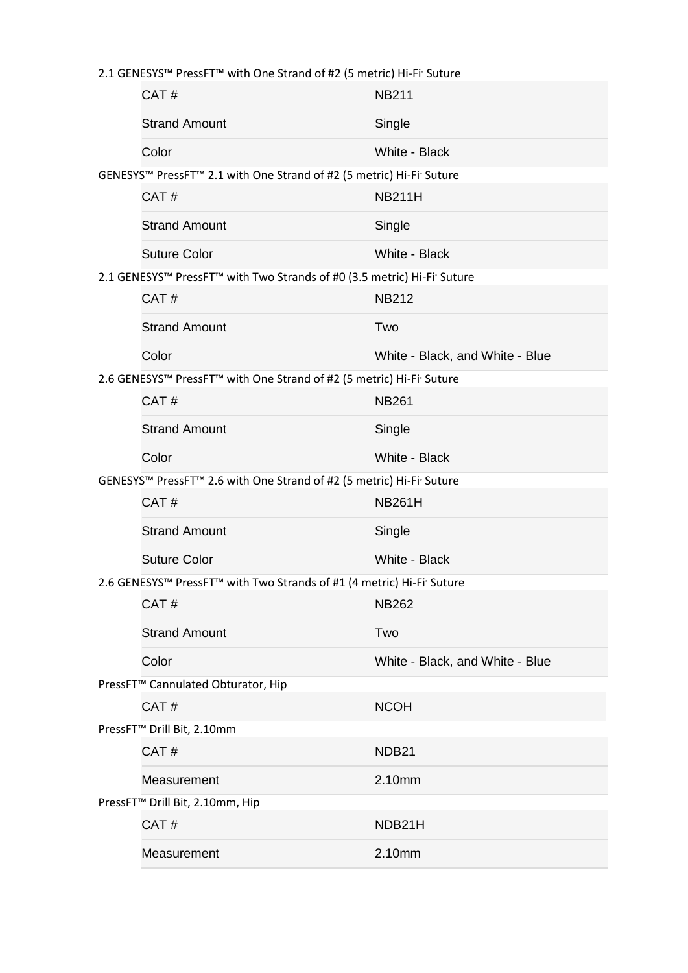2.1 GENESYS™ PressFT™ with One Strand of #2 (5 metric) Hi-Fi' Suture

|                                                                                     | CAT#                                                                | <b>NB211</b>                    |  |  |
|-------------------------------------------------------------------------------------|---------------------------------------------------------------------|---------------------------------|--|--|
|                                                                                     | <b>Strand Amount</b>                                                | Single                          |  |  |
|                                                                                     | Color                                                               | White - Black                   |  |  |
| GENESYS™ PressFT™ 2.1 with One Strand of #2 (5 metric) Hi-Fi Suture                 |                                                                     |                                 |  |  |
|                                                                                     | CAT#                                                                | <b>NB211H</b>                   |  |  |
|                                                                                     | <b>Strand Amount</b>                                                | Single                          |  |  |
|                                                                                     | <b>Suture Color</b>                                                 | White - Black                   |  |  |
| 2.1 GENESYS™ PressFT™ with Two Strands of #0 (3.5 metric) Hi-Fi <sup>®</sup> Suture |                                                                     |                                 |  |  |
|                                                                                     | CAT#                                                                | <b>NB212</b>                    |  |  |
|                                                                                     | <b>Strand Amount</b>                                                | Two                             |  |  |
|                                                                                     | Color                                                               | White - Black, and White - Blue |  |  |
|                                                                                     | 2.6 GENESYS™ PressFT™ with One Strand of #2 (5 metric) Hi-Fi Suture |                                 |  |  |
|                                                                                     | CAT#                                                                | <b>NB261</b>                    |  |  |
|                                                                                     | <b>Strand Amount</b>                                                | Single                          |  |  |
|                                                                                     | Color                                                               | White - Black                   |  |  |
| GENESYS™ PressFT™ 2.6 with One Strand of #2 (5 metric) Hi-Fi Suture                 |                                                                     |                                 |  |  |
|                                                                                     | CAT#                                                                | <b>NB261H</b>                   |  |  |
|                                                                                     | <b>Strand Amount</b>                                                | Single                          |  |  |
|                                                                                     | <b>Suture Color</b>                                                 | White - Black                   |  |  |
| 2.6 GENESYS™ PressFT™ with Two Strands of #1 (4 metric) Hi-Fi Suture                |                                                                     |                                 |  |  |
|                                                                                     | CAT#                                                                | <b>NB262</b>                    |  |  |
|                                                                                     | <b>Strand Amount</b>                                                | Two                             |  |  |
|                                                                                     | Color                                                               | White - Black, and White - Blue |  |  |
|                                                                                     | PressFT <sup>™</sup> Cannulated Obturator, Hip                      |                                 |  |  |
|                                                                                     | CAT#                                                                | <b>NCOH</b>                     |  |  |
|                                                                                     | PressFT <sup>™</sup> Drill Bit, 2.10mm                              |                                 |  |  |
|                                                                                     | CAT#                                                                | NDB21                           |  |  |
|                                                                                     | Measurement                                                         | 2.10mm                          |  |  |
| PressFT <sup>™</sup> Drill Bit, 2.10mm, Hip                                         |                                                                     |                                 |  |  |
|                                                                                     | CAT#                                                                | NDB21H                          |  |  |
|                                                                                     | Measurement                                                         | 2.10mm                          |  |  |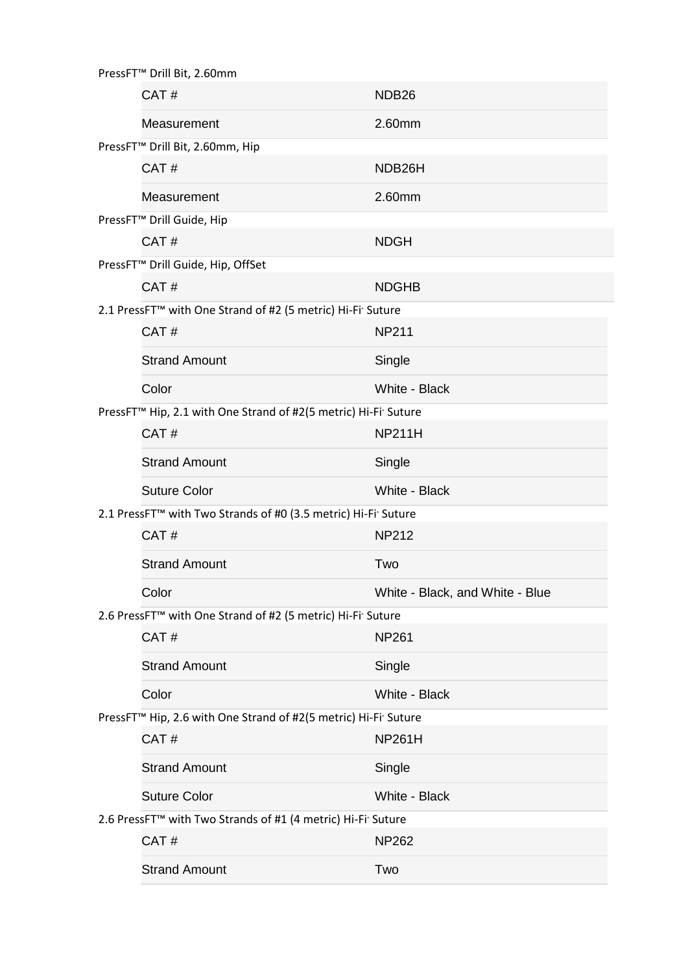| PressFT <sup>™</sup> Drill Bit, 2.60mm                                                  |                                                                             |                                 |  |  |
|-----------------------------------------------------------------------------------------|-----------------------------------------------------------------------------|---------------------------------|--|--|
|                                                                                         | CAT#                                                                        | NDB <sub>26</sub>               |  |  |
|                                                                                         | Measurement                                                                 | 2.60mm                          |  |  |
|                                                                                         | PressFT <sup>™</sup> Drill Bit, 2.60mm, Hip                                 |                                 |  |  |
|                                                                                         | CAT#                                                                        | NDB <sub>26</sub> H             |  |  |
|                                                                                         | Measurement                                                                 | 2.60mm                          |  |  |
|                                                                                         | PressFT™ Drill Guide, Hip                                                   |                                 |  |  |
|                                                                                         | CAT#                                                                        | <b>NDGH</b>                     |  |  |
| PressFT™ Drill Guide, Hip, OffSet                                                       |                                                                             |                                 |  |  |
|                                                                                         | CAT#                                                                        | <b>NDGHB</b>                    |  |  |
| 2.1 PressFT™ with One Strand of #2 (5 metric) Hi-Fi Suture                              |                                                                             |                                 |  |  |
|                                                                                         | CAT#                                                                        | <b>NP211</b>                    |  |  |
|                                                                                         | <b>Strand Amount</b>                                                        | Single                          |  |  |
|                                                                                         | Color                                                                       | White - Black                   |  |  |
|                                                                                         | PressFT <sup>™</sup> Hip, 2.1 with One Strand of #2(5 metric) Hi-Fi' Suture |                                 |  |  |
|                                                                                         | CAT#                                                                        | <b>NP211H</b>                   |  |  |
|                                                                                         | <b>Strand Amount</b>                                                        | Single                          |  |  |
|                                                                                         | <b>Suture Color</b>                                                         | White - Black                   |  |  |
| 2.1 PressFT <sup>™</sup> with Two Strands of #0 (3.5 metric) Hi-Fi' Suture              |                                                                             |                                 |  |  |
|                                                                                         | CAT#                                                                        | <b>NP212</b>                    |  |  |
|                                                                                         | <b>Strand Amount</b>                                                        | Two                             |  |  |
|                                                                                         | Color                                                                       | White - Black, and White - Blue |  |  |
| 2.6 PressFT™ with One Strand of #2 (5 metric) Hi-Fi Suture                              |                                                                             |                                 |  |  |
|                                                                                         | CAT#                                                                        | <b>NP261</b>                    |  |  |
|                                                                                         | <b>Strand Amount</b>                                                        | Single                          |  |  |
|                                                                                         | Color                                                                       | White - Black                   |  |  |
| PressFT <sup>™</sup> Hip, 2.6 with One Strand of #2(5 metric) Hi-Fi <sup>•</sup> Suture |                                                                             |                                 |  |  |
|                                                                                         | CAT#                                                                        | <b>NP261H</b>                   |  |  |
|                                                                                         | <b>Strand Amount</b>                                                        | Single                          |  |  |
|                                                                                         | <b>Suture Color</b>                                                         | White - Black                   |  |  |
| 2.6 PressFT <sup>™</sup> with Two Strands of #1 (4 metric) Hi-Fi' Suture                |                                                                             |                                 |  |  |
|                                                                                         | CAT#                                                                        | <b>NP262</b>                    |  |  |
|                                                                                         | <b>Strand Amount</b>                                                        | Two                             |  |  |